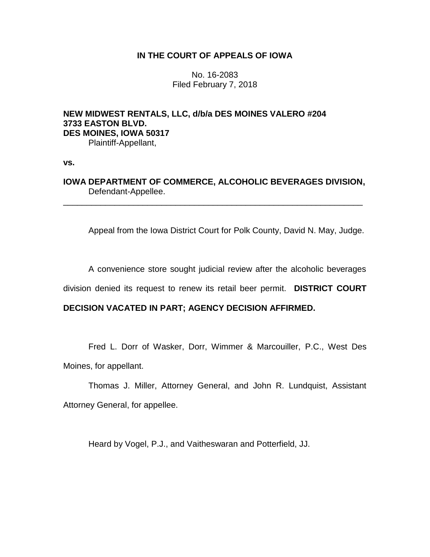## **IN THE COURT OF APPEALS OF IOWA**

No. 16-2083 Filed February 7, 2018

# **NEW MIDWEST RENTALS, LLC, d/b/a DES MOINES VALERO #204 3733 EASTON BLVD. DES MOINES, IOWA 50317** Plaintiff-Appellant,

**vs.**

# **IOWA DEPARTMENT OF COMMERCE, ALCOHOLIC BEVERAGES DIVISION,** Defendant-Appellee.

\_\_\_\_\_\_\_\_\_\_\_\_\_\_\_\_\_\_\_\_\_\_\_\_\_\_\_\_\_\_\_\_\_\_\_\_\_\_\_\_\_\_\_\_\_\_\_\_\_\_\_\_\_\_\_\_\_\_\_\_\_\_\_\_

Appeal from the Iowa District Court for Polk County, David N. May, Judge.

A convenience store sought judicial review after the alcoholic beverages

division denied its request to renew its retail beer permit. **DISTRICT COURT** 

## **DECISION VACATED IN PART; AGENCY DECISION AFFIRMED.**

Fred L. Dorr of Wasker, Dorr, Wimmer & Marcouiller, P.C., West Des Moines, for appellant.

Thomas J. Miller, Attorney General, and John R. Lundquist, Assistant Attorney General, for appellee.

Heard by Vogel, P.J., and Vaitheswaran and Potterfield, JJ.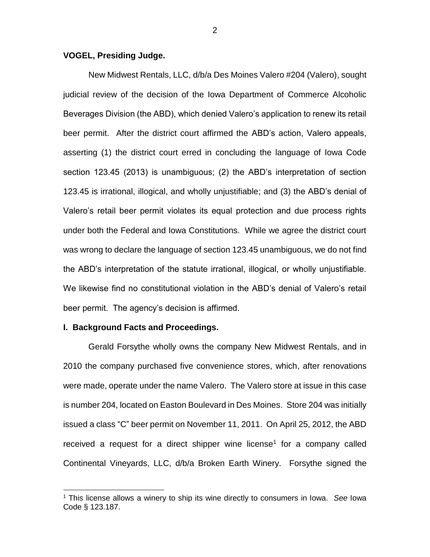### **VOGEL, Presiding Judge.**

New Midwest Rentals, LLC, d/b/a Des Moines Valero #204 (Valero), sought judicial review of the decision of the Iowa Department of Commerce Alcoholic Beverages Division (the ABD), which denied Valero's application to renew its retail beer permit. After the district court affirmed the ABD's action, Valero appeals, asserting (1) the district court erred in concluding the language of Iowa Code section 123.45 (2013) is unambiguous; (2) the ABD's interpretation of section 123.45 is irrational, illogical, and wholly unjustifiable; and (3) the ABD's denial of Valero's retail beer permit violates its equal protection and due process rights under both the Federal and Iowa Constitutions. While we agree the district court was wrong to declare the language of section 123.45 unambiguous, we do not find the ABD's interpretation of the statute irrational, illogical, or wholly unjustifiable. We likewise find no constitutional violation in the ABD's denial of Valero's retail beer permit. The agency's decision is affirmed.

#### **I. Background Facts and Proceedings.**

 $\overline{a}$ 

Gerald Forsythe wholly owns the company New Midwest Rentals, and in 2010 the company purchased five convenience stores, which, after renovations were made, operate under the name Valero. The Valero store at issue in this case is number 204, located on Easton Boulevard in Des Moines. Store 204 was initially issued a class "C" beer permit on November 11, 2011. On April 25, 2012, the ABD received a request for a direct shipper wine license<sup>1</sup> for a company called Continental Vineyards, LLC, d/b/a Broken Earth Winery. Forsythe signed the

<sup>1</sup> This license allows a winery to ship its wine directly to consumers in Iowa. *See* Iowa Code § 123.187.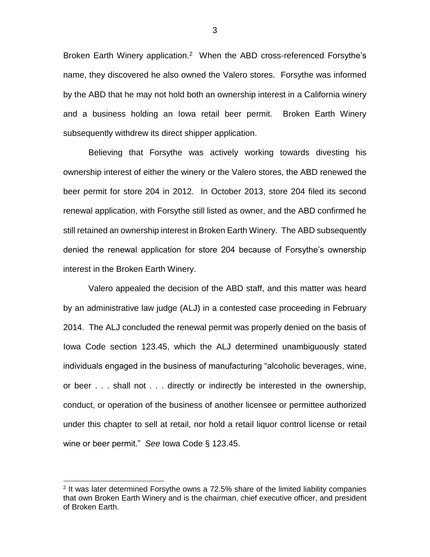Broken Earth Winery application.<sup>2</sup> When the ABD cross-referenced Forsythe's name, they discovered he also owned the Valero stores. Forsythe was informed by the ABD that he may not hold both an ownership interest in a California winery and a business holding an Iowa retail beer permit. Broken Earth Winery subsequently withdrew its direct shipper application.

Believing that Forsythe was actively working towards divesting his ownership interest of either the winery or the Valero stores, the ABD renewed the beer permit for store 204 in 2012. In October 2013, store 204 filed its second renewal application, with Forsythe still listed as owner, and the ABD confirmed he still retained an ownership interest in Broken Earth Winery. The ABD subsequently denied the renewal application for store 204 because of Forsythe's ownership interest in the Broken Earth Winery.

Valero appealed the decision of the ABD staff, and this matter was heard by an administrative law judge (ALJ) in a contested case proceeding in February 2014. The ALJ concluded the renewal permit was properly denied on the basis of Iowa Code section 123.45, which the ALJ determined unambiguously stated individuals engaged in the business of manufacturing "alcoholic beverages, wine, or beer . . . shall not . . . directly or indirectly be interested in the ownership, conduct, or operation of the business of another licensee or permittee authorized under this chapter to sell at retail, nor hold a retail liquor control license or retail wine or beer permit." *See* Iowa Code § 123.45.

 $\overline{a}$ 

3

 $2$  It was later determined Forsythe owns a 72.5% share of the limited liability companies that own Broken Earth Winery and is the chairman, chief executive officer, and president of Broken Earth.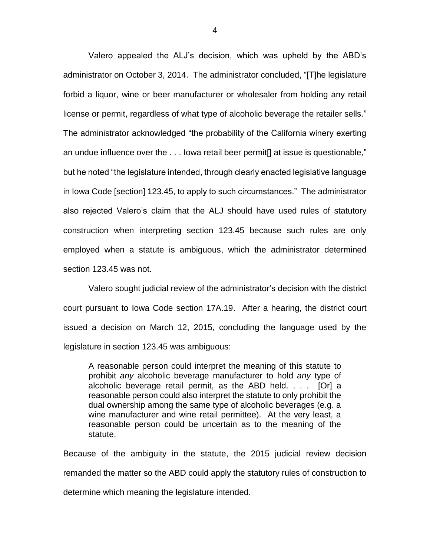Valero appealed the ALJ's decision, which was upheld by the ABD's administrator on October 3, 2014. The administrator concluded, "[T]he legislature forbid a liquor, wine or beer manufacturer or wholesaler from holding any retail license or permit, regardless of what type of alcoholic beverage the retailer sells." The administrator acknowledged "the probability of the California winery exerting an undue influence over the . . . Iowa retail beer permit[] at issue is questionable," but he noted "the legislature intended, through clearly enacted legislative language in Iowa Code [section] 123.45, to apply to such circumstances." The administrator also rejected Valero's claim that the ALJ should have used rules of statutory construction when interpreting section 123.45 because such rules are only employed when a statute is ambiguous, which the administrator determined section 123.45 was not.

Valero sought judicial review of the administrator's decision with the district court pursuant to Iowa Code section 17A.19. After a hearing, the district court issued a decision on March 12, 2015, concluding the language used by the legislature in section 123.45 was ambiguous:

A reasonable person could interpret the meaning of this statute to prohibit *any* alcoholic beverage manufacturer to hold *any* type of alcoholic beverage retail permit, as the ABD held. . . . [Or] a reasonable person could also interpret the statute to only prohibit the dual ownership among the same type of alcoholic beverages (e.g. a wine manufacturer and wine retail permittee). At the very least, a reasonable person could be uncertain as to the meaning of the statute.

Because of the ambiguity in the statute, the 2015 judicial review decision remanded the matter so the ABD could apply the statutory rules of construction to determine which meaning the legislature intended.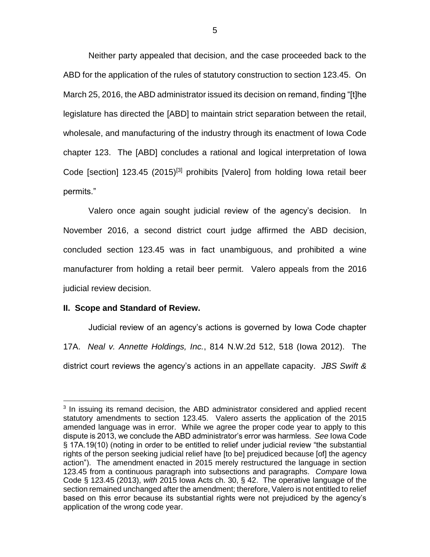Neither party appealed that decision, and the case proceeded back to the ABD for the application of the rules of statutory construction to section 123.45. On March 25, 2016, the ABD administrator issued its decision on remand, finding "[t]he legislature has directed the [ABD] to maintain strict separation between the retail, wholesale, and manufacturing of the industry through its enactment of Iowa Code chapter 123. The [ABD] concludes a rational and logical interpretation of Iowa Code [section] 123.45 (2015)<sup>[3]</sup> prohibits [Valero] from holding lowa retail beer permits."

Valero once again sought judicial review of the agency's decision. In November 2016, a second district court judge affirmed the ABD decision, concluded section 123.45 was in fact unambiguous, and prohibited a wine manufacturer from holding a retail beer permit. Valero appeals from the 2016 judicial review decision.

#### **II. Scope and Standard of Review.**

 $\overline{a}$ 

Judicial review of an agency's actions is governed by Iowa Code chapter 17A. *Neal v. Annette Holdings, Inc.*, 814 N.W.2d 512, 518 (Iowa 2012). The district court reviews the agency's actions in an appellate capacity. *JBS Swift &* 

<sup>&</sup>lt;sup>3</sup> In issuing its remand decision, the ABD administrator considered and applied recent statutory amendments to section 123.45. Valero asserts the application of the 2015 amended language was in error. While we agree the proper code year to apply to this dispute is 2013, we conclude the ABD administrator's error was harmless. *See* Iowa Code § 17A.19(10) (noting in order to be entitled to relief under judicial review "the substantial rights of the person seeking judicial relief have [to be] prejudiced because [of] the agency action"). The amendment enacted in 2015 merely restructured the language in section 123.45 from a continuous paragraph into subsections and paragraphs. *Compare* Iowa Code § 123.45 (2013), *with* 2015 Iowa Acts ch. 30, § 42. The operative language of the section remained unchanged after the amendment; therefore, Valero is not entitled to relief based on this error because its substantial rights were not prejudiced by the agency's application of the wrong code year.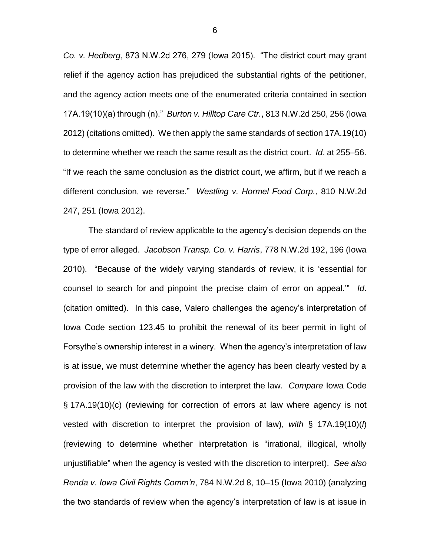*Co. v. Hedberg*, 873 N.W.2d 276, 279 (Iowa 2015). "The district court may grant relief if the agency action has prejudiced the substantial rights of the petitioner, and the agency action meets one of the enumerated criteria contained in section 17A.19(10)(a) through (n)." *Burton v. Hilltop Care Ctr.*, 813 N.W.2d 250, 256 (Iowa 2012) (citations omitted). We then apply the same standards of section 17A.19(10) to determine whether we reach the same result as the district court. *Id*. at 255–56. "If we reach the same conclusion as the district court, we affirm, but if we reach a different conclusion, we reverse." *Westling v. Hormel Food Corp.*, 810 N.W.2d 247, 251 (Iowa 2012).

The standard of review applicable to the agency's decision depends on the type of error alleged. *Jacobson Transp. Co. v. Harris*, 778 N.W.2d 192, 196 (Iowa 2010). "Because of the widely varying standards of review, it is 'essential for counsel to search for and pinpoint the precise claim of error on appeal.'" *Id*. (citation omitted). In this case, Valero challenges the agency's interpretation of Iowa Code section 123.45 to prohibit the renewal of its beer permit in light of Forsythe's ownership interest in a winery. When the agency's interpretation of law is at issue, we must determine whether the agency has been clearly vested by a provision of the law with the discretion to interpret the law. *Compare* Iowa Code § 17A.19(10)(c) (reviewing for correction of errors at law where agency is not vested with discretion to interpret the provision of law), *with* § 17A.19(10)(*l*) (reviewing to determine whether interpretation is "irrational, illogical, wholly unjustifiable" when the agency is vested with the discretion to interpret). *See also Renda v. Iowa Civil Rights Comm'n*, 784 N.W.2d 8, 10–15 (Iowa 2010) (analyzing the two standards of review when the agency's interpretation of law is at issue in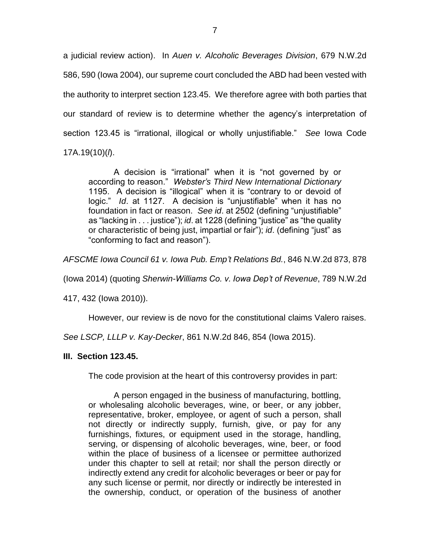a judicial review action). In *Auen v. Alcoholic Beverages Division*, 679 N.W.2d 586, 590 (Iowa 2004), our supreme court concluded the ABD had been vested with the authority to interpret section 123.45. We therefore agree with both parties that our standard of review is to determine whether the agency's interpretation of section 123.45 is "irrational, illogical or wholly unjustifiable." *See* Iowa Code 17A.19(10)(*l*).

A decision is "irrational" when it is "not governed by or according to reason." *Webster's Third New International Dictionary* 1195. A decision is "illogical" when it is "contrary to or devoid of logic." *Id*. at 1127. A decision is "unjustifiable" when it has no foundation in fact or reason. *See id*. at 2502 (defining "unjustifiable" as "lacking in . . . justice"); *id*. at 1228 (defining "justice" as "the quality or characteristic of being just, impartial or fair"); *id*. (defining "just" as "conforming to fact and reason").

*AFSCME Iowa Council 61 v. Iowa Pub. Emp't Relations Bd.*, 846 N.W.2d 873, 878

(Iowa 2014) (quoting *Sherwin-Williams Co. v. Iowa Dep't of Revenue*, 789 N.W.2d

417, 432 (Iowa 2010)).

However, our review is de novo for the constitutional claims Valero raises.

*See LSCP, LLLP v. Kay-Decker*, 861 N.W.2d 846, 854 (Iowa 2015).

#### **III. Section 123.45.**

The code provision at the heart of this controversy provides in part:

A person engaged in the business of manufacturing, bottling, or wholesaling alcoholic beverages, wine, or beer, or any jobber, representative, broker, employee, or agent of such a person, shall not directly or indirectly supply, furnish, give, or pay for any furnishings, fixtures, or equipment used in the storage, handling, serving, or dispensing of alcoholic beverages, wine, beer, or food within the place of business of a licensee or permittee authorized under this chapter to sell at retail; nor shall the person directly or indirectly extend any credit for alcoholic beverages or beer or pay for any such license or permit, nor directly or indirectly be interested in the ownership, conduct, or operation of the business of another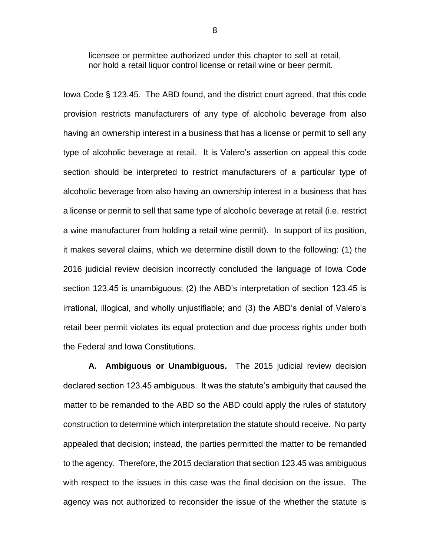licensee or permittee authorized under this chapter to sell at retail, nor hold a retail liquor control license or retail wine or beer permit.

Iowa Code § 123.45. The ABD found, and the district court agreed, that this code provision restricts manufacturers of any type of alcoholic beverage from also having an ownership interest in a business that has a license or permit to sell any type of alcoholic beverage at retail. It is Valero's assertion on appeal this code section should be interpreted to restrict manufacturers of a particular type of alcoholic beverage from also having an ownership interest in a business that has a license or permit to sell that same type of alcoholic beverage at retail (i.e. restrict a wine manufacturer from holding a retail wine permit). In support of its position, it makes several claims, which we determine distill down to the following: (1) the 2016 judicial review decision incorrectly concluded the language of Iowa Code section 123.45 is unambiguous; (2) the ABD's interpretation of section 123.45 is irrational, illogical, and wholly unjustifiable; and (3) the ABD's denial of Valero's retail beer permit violates its equal protection and due process rights under both the Federal and Iowa Constitutions.

**A. Ambiguous or Unambiguous.** The 2015 judicial review decision declared section 123.45 ambiguous. It was the statute's ambiguity that caused the matter to be remanded to the ABD so the ABD could apply the rules of statutory construction to determine which interpretation the statute should receive. No party appealed that decision; instead, the parties permitted the matter to be remanded to the agency. Therefore, the 2015 declaration that section 123.45 was ambiguous with respect to the issues in this case was the final decision on the issue. The agency was not authorized to reconsider the issue of the whether the statute is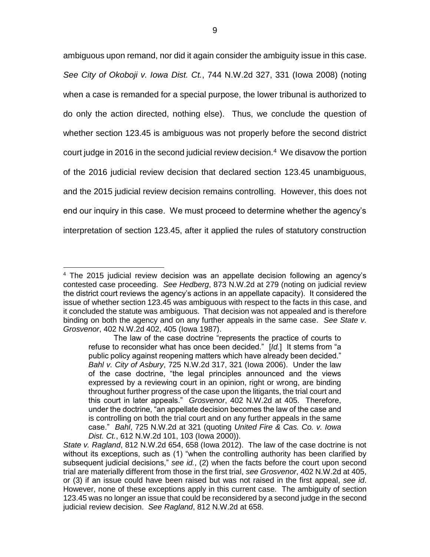ambiguous upon remand, nor did it again consider the ambiguity issue in this case. *See City of Okoboji v. Iowa Dist. Ct.*, 744 N.W.2d 327, 331 (Iowa 2008) (noting when a case is remanded for a special purpose, the lower tribunal is authorized to do only the action directed, nothing else). Thus, we conclude the question of whether section 123.45 is ambiguous was not properly before the second district court judge in 2016 in the second judicial review decision.<sup>4</sup> We disavow the portion of the 2016 judicial review decision that declared section 123.45 unambiguous, and the 2015 judicial review decision remains controlling. However, this does not end our inquiry in this case. We must proceed to determine whether the agency's interpretation of section 123.45, after it applied the rules of statutory construction

 $\overline{a}$ 

<sup>4</sup> The 2015 judicial review decision was an appellate decision following an agency's contested case proceeding. *See Hedberg*, 873 N.W.2d at 279 (noting on judicial review the district court reviews the agency's actions in an appellate capacity). It considered the issue of whether section 123.45 was ambiguous with respect to the facts in this case, and it concluded the statute was ambiguous. That decision was not appealed and is therefore binding on both the agency and on any further appeals in the same case. *See State v. Grosvenor*, 402 N.W.2d 402, 405 (Iowa 1987).

The law of the case doctrine "represents the practice of courts to refuse to reconsider what has once been decided." [*Id.*] It stems from "a public policy against reopening matters which have already been decided." *Bahl v. City of Asbury*, 725 N.W.2d 317, 321 (Iowa 2006). Under the law of the case doctrine, "the legal principles announced and the views expressed by a reviewing court in an opinion, right or wrong, are binding throughout further progress of the case upon the litigants, the trial court and this court in later appeals." *Grosvenor*, 402 N.W.2d at 405. Therefore, under the doctrine, "an appellate decision becomes the law of the case and is controlling on both the trial court and on any further appeals in the same case." *Bahl*, 725 N.W.2d at 321 (quoting *United Fire & Cas. Co. v. Iowa Dist. Ct.*, 612 N.W.2d 101, 103 (Iowa 2000)).

*State v. Ragland*, 812 N.W.2d 654, 658 (Iowa 2012). The law of the case doctrine is not without its exceptions, such as (1) "when the controlling authority has been clarified by subsequent judicial decisions," *see id.*, (2) when the facts before the court upon second trial are materially different from those in the first trial, *see Grosvenor*, 402 N.W.2d at 405, or (3) if an issue could have been raised but was not raised in the first appeal, *see id*. However, none of these exceptions apply in this current case. The ambiguity of section 123.45 was no longer an issue that could be reconsidered by a second judge in the second judicial review decision. *See Ragland*, 812 N.W.2d at 658.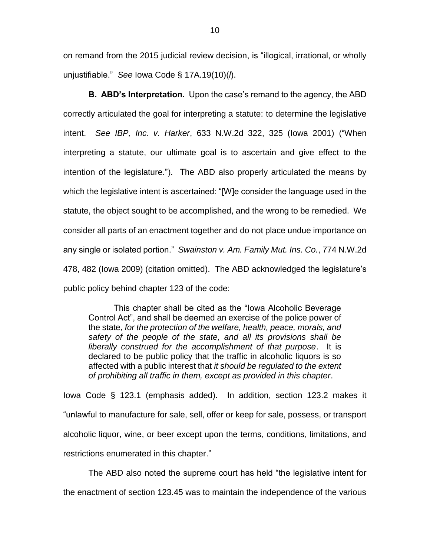on remand from the 2015 judicial review decision, is "illogical, irrational, or wholly unjustifiable." *See* Iowa Code § 17A.19(10)(*l*).

**B. ABD's Interpretation.** Upon the case's remand to the agency, the ABD correctly articulated the goal for interpreting a statute: to determine the legislative intent. *See IBP, Inc. v. Harker*, 633 N.W.2d 322, 325 (Iowa 2001) ("When interpreting a statute, our ultimate goal is to ascertain and give effect to the intention of the legislature."). The ABD also properly articulated the means by which the legislative intent is ascertained: "[W]e consider the language used in the statute, the object sought to be accomplished, and the wrong to be remedied. We consider all parts of an enactment together and do not place undue importance on any single or isolated portion." *Swainston v. Am. Family Mut. Ins. Co.*, 774 N.W.2d 478, 482 (Iowa 2009) (citation omitted). The ABD acknowledged the legislature's public policy behind chapter 123 of the code:

This chapter shall be cited as the "Iowa Alcoholic Beverage Control Act", and shall be deemed an exercise of the police power of the state, *for the protection of the welfare, health, peace, morals, and safety of the people of the state, and all its provisions shall be liberally construed for the accomplishment of that purpose*. It is declared to be public policy that the traffic in alcoholic liquors is so affected with a public interest that *it should be regulated to the extent of prohibiting all traffic in them, except as provided in this chapter*.

Iowa Code § 123.1 (emphasis added). In addition, section 123.2 makes it "unlawful to manufacture for sale, sell, offer or keep for sale, possess, or transport alcoholic liquor, wine, or beer except upon the terms, conditions, limitations, and restrictions enumerated in this chapter."

The ABD also noted the supreme court has held "the legislative intent for the enactment of section 123.45 was to maintain the independence of the various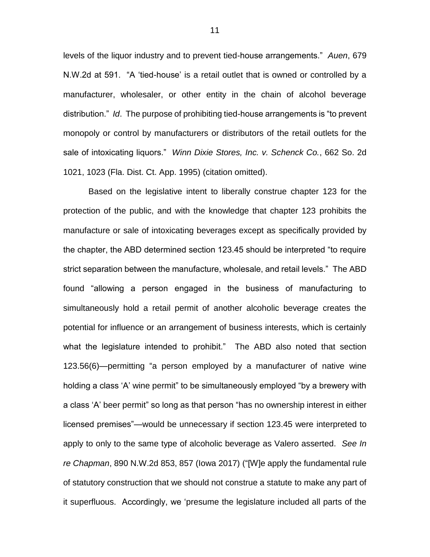levels of the liquor industry and to prevent tied-house arrangements." *Auen*, 679 N.W.2d at 591. "A 'tied-house' is a retail outlet that is owned or controlled by a manufacturer, wholesaler, or other entity in the chain of alcohol beverage distribution." *Id*. The purpose of prohibiting tied-house arrangements is "to prevent monopoly or control by manufacturers or distributors of the retail outlets for the sale of intoxicating liquors." *Winn Dixie Stores, Inc. v. Schenck Co.*, 662 So. 2d 1021, 1023 (Fla. Dist. Ct. App. 1995) (citation omitted).

Based on the legislative intent to liberally construe chapter 123 for the protection of the public, and with the knowledge that chapter 123 prohibits the manufacture or sale of intoxicating beverages except as specifically provided by the chapter, the ABD determined section 123.45 should be interpreted "to require strict separation between the manufacture, wholesale, and retail levels." The ABD found "allowing a person engaged in the business of manufacturing to simultaneously hold a retail permit of another alcoholic beverage creates the potential for influence or an arrangement of business interests, which is certainly what the legislature intended to prohibit." The ABD also noted that section 123.56(6)—permitting "a person employed by a manufacturer of native wine holding a class 'A' wine permit" to be simultaneously employed "by a brewery with a class 'A' beer permit" so long as that person "has no ownership interest in either licensed premises"—would be unnecessary if section 123.45 were interpreted to apply to only to the same type of alcoholic beverage as Valero asserted. *See In re Chapman*, 890 N.W.2d 853, 857 (Iowa 2017) ("[W]e apply the fundamental rule of statutory construction that we should not construe a statute to make any part of it superfluous. Accordingly, we 'presume the legislature included all parts of the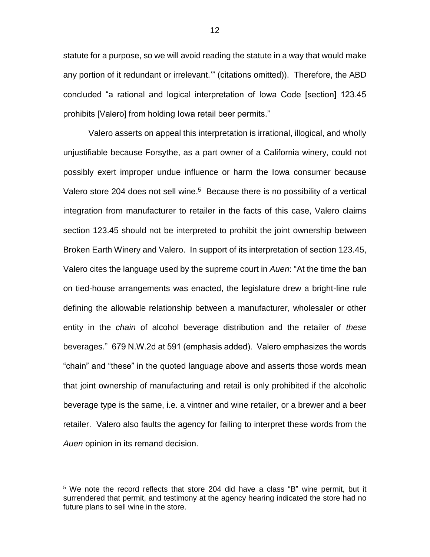statute for a purpose, so we will avoid reading the statute in a way that would make any portion of it redundant or irrelevant.'" (citations omitted)). Therefore, the ABD concluded "a rational and logical interpretation of Iowa Code [section] 123.45 prohibits [Valero] from holding Iowa retail beer permits."

Valero asserts on appeal this interpretation is irrational, illogical, and wholly unjustifiable because Forsythe, as a part owner of a California winery, could not possibly exert improper undue influence or harm the Iowa consumer because Valero store 204 does not sell wine. <sup>5</sup> Because there is no possibility of a vertical integration from manufacturer to retailer in the facts of this case, Valero claims section 123.45 should not be interpreted to prohibit the joint ownership between Broken Earth Winery and Valero. In support of its interpretation of section 123.45, Valero cites the language used by the supreme court in *Auen*: "At the time the ban on tied-house arrangements was enacted, the legislature drew a bright-line rule defining the allowable relationship between a manufacturer, wholesaler or other entity in the *chain* of alcohol beverage distribution and the retailer of *these* beverages." 679 N.W.2d at 591 (emphasis added). Valero emphasizes the words "chain" and "these" in the quoted language above and asserts those words mean that joint ownership of manufacturing and retail is only prohibited if the alcoholic beverage type is the same, i.e. a vintner and wine retailer, or a brewer and a beer retailer. Valero also faults the agency for failing to interpret these words from the *Auen* opinion in its remand decision.

 $\overline{a}$ 

<sup>&</sup>lt;sup>5</sup> We note the record reflects that store 204 did have a class "B" wine permit, but it surrendered that permit, and testimony at the agency hearing indicated the store had no future plans to sell wine in the store.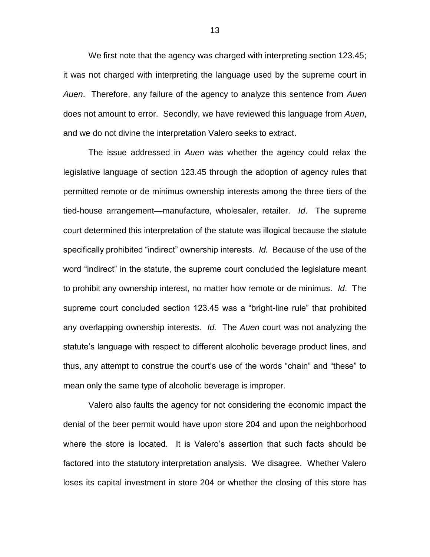We first note that the agency was charged with interpreting section 123.45; it was not charged with interpreting the language used by the supreme court in *Auen*. Therefore, any failure of the agency to analyze this sentence from *Auen* does not amount to error. Secondly, we have reviewed this language from *Auen*, and we do not divine the interpretation Valero seeks to extract.

The issue addressed in *Auen* was whether the agency could relax the legislative language of section 123.45 through the adoption of agency rules that permitted remote or de minimus ownership interests among the three tiers of the tied-house arrangement—manufacture, wholesaler, retailer. *Id*. The supreme court determined this interpretation of the statute was illogical because the statute specifically prohibited "indirect" ownership interests. *Id.* Because of the use of the word "indirect" in the statute, the supreme court concluded the legislature meant to prohibit any ownership interest, no matter how remote or de minimus. *Id*. The supreme court concluded section 123.45 was a "bright-line rule" that prohibited any overlapping ownership interests. *Id.* The *Auen* court was not analyzing the statute's language with respect to different alcoholic beverage product lines, and thus, any attempt to construe the court's use of the words "chain" and "these" to mean only the same type of alcoholic beverage is improper.

Valero also faults the agency for not considering the economic impact the denial of the beer permit would have upon store 204 and upon the neighborhood where the store is located. It is Valero's assertion that such facts should be factored into the statutory interpretation analysis. We disagree. Whether Valero loses its capital investment in store 204 or whether the closing of this store has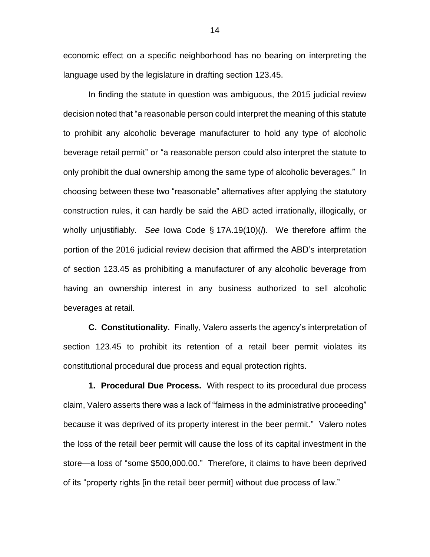economic effect on a specific neighborhood has no bearing on interpreting the language used by the legislature in drafting section 123.45.

In finding the statute in question was ambiguous, the 2015 judicial review decision noted that "a reasonable person could interpret the meaning of this statute to prohibit any alcoholic beverage manufacturer to hold any type of alcoholic beverage retail permit" or "a reasonable person could also interpret the statute to only prohibit the dual ownership among the same type of alcoholic beverages." In choosing between these two "reasonable" alternatives after applying the statutory construction rules, it can hardly be said the ABD acted irrationally, illogically, or wholly unjustifiably. *See* Iowa Code § 17A.19(10)(*l*). We therefore affirm the portion of the 2016 judicial review decision that affirmed the ABD's interpretation of section 123.45 as prohibiting a manufacturer of any alcoholic beverage from having an ownership interest in any business authorized to sell alcoholic beverages at retail.

**C. Constitutionality.** Finally, Valero asserts the agency's interpretation of section 123.45 to prohibit its retention of a retail beer permit violates its constitutional procedural due process and equal protection rights.

**1. Procedural Due Process.** With respect to its procedural due process claim, Valero asserts there was a lack of "fairness in the administrative proceeding" because it was deprived of its property interest in the beer permit." Valero notes the loss of the retail beer permit will cause the loss of its capital investment in the store—a loss of "some \$500,000.00." Therefore, it claims to have been deprived of its "property rights [in the retail beer permit] without due process of law."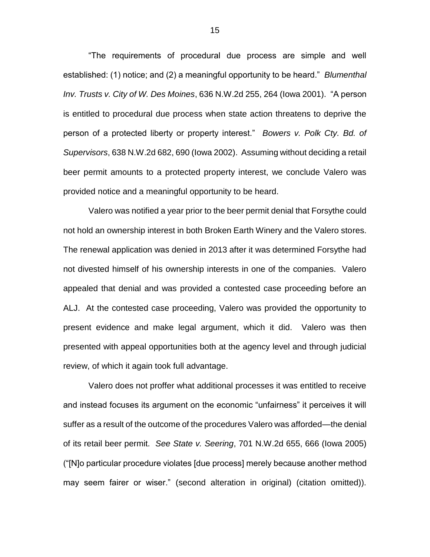"The requirements of procedural due process are simple and well established: (1) notice; and (2) a meaningful opportunity to be heard." *Blumenthal Inv. Trusts v. City of W. Des Moines*, 636 N.W.2d 255, 264 (Iowa 2001). "A person is entitled to procedural due process when state action threatens to deprive the person of a protected liberty or property interest." *Bowers v. Polk Cty. Bd. of Supervisors*, 638 N.W.2d 682, 690 (Iowa 2002). Assuming without deciding a retail beer permit amounts to a protected property interest, we conclude Valero was provided notice and a meaningful opportunity to be heard.

Valero was notified a year prior to the beer permit denial that Forsythe could not hold an ownership interest in both Broken Earth Winery and the Valero stores. The renewal application was denied in 2013 after it was determined Forsythe had not divested himself of his ownership interests in one of the companies. Valero appealed that denial and was provided a contested case proceeding before an ALJ. At the contested case proceeding, Valero was provided the opportunity to present evidence and make legal argument, which it did. Valero was then presented with appeal opportunities both at the agency level and through judicial review, of which it again took full advantage.

Valero does not proffer what additional processes it was entitled to receive and instead focuses its argument on the economic "unfairness" it perceives it will suffer as a result of the outcome of the procedures Valero was afforded—the denial of its retail beer permit. *See State v. Seering*, 701 N.W.2d 655, 666 (Iowa 2005) ("[N]o particular procedure violates [due process] merely because another method may seem fairer or wiser." (second alteration in original) (citation omitted)).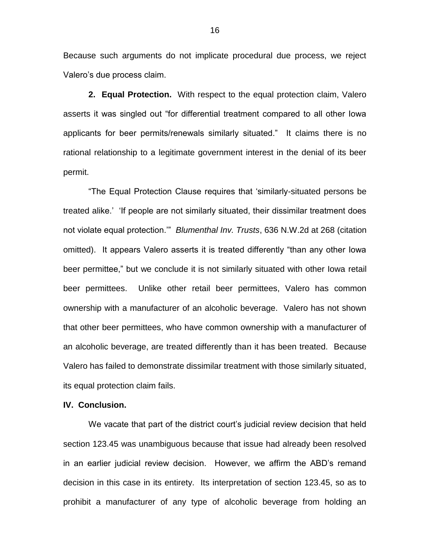Because such arguments do not implicate procedural due process, we reject Valero's due process claim.

**2. Equal Protection.** With respect to the equal protection claim, Valero asserts it was singled out "for differential treatment compared to all other Iowa applicants for beer permits/renewals similarly situated." It claims there is no rational relationship to a legitimate government interest in the denial of its beer permit.

"The Equal Protection Clause requires that 'similarly-situated persons be treated alike.' 'If people are not similarly situated, their dissimilar treatment does not violate equal protection.'" *Blumenthal Inv. Trusts*, 636 N.W.2d at 268 (citation omitted). It appears Valero asserts it is treated differently "than any other Iowa beer permittee," but we conclude it is not similarly situated with other Iowa retail beer permittees. Unlike other retail beer permittees, Valero has common ownership with a manufacturer of an alcoholic beverage. Valero has not shown that other beer permittees, who have common ownership with a manufacturer of an alcoholic beverage, are treated differently than it has been treated. Because Valero has failed to demonstrate dissimilar treatment with those similarly situated, its equal protection claim fails.

#### **IV. Conclusion.**

We vacate that part of the district court's judicial review decision that held section 123.45 was unambiguous because that issue had already been resolved in an earlier judicial review decision. However, we affirm the ABD's remand decision in this case in its entirety. Its interpretation of section 123.45, so as to prohibit a manufacturer of any type of alcoholic beverage from holding an